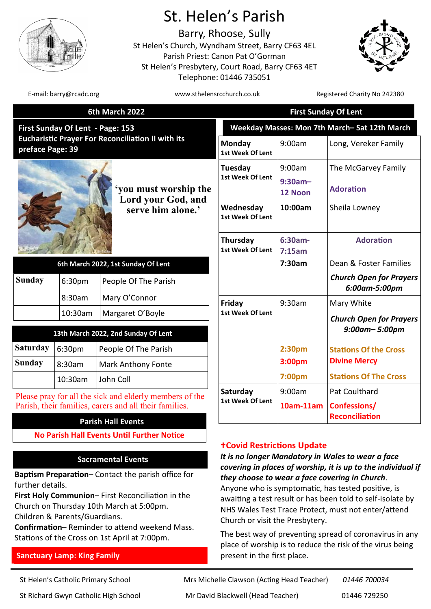

# St. Helen's Parish

Barry, Rhoose, Sully St Helen's Church, Wyndham Street, Barry CF63 4EL Parish Priest: Canon Pat O'Gorman St Helen's Presbytery, Court Road, Barry CF63 4ET Telephone: 01446 735051



E-mail: barry@rcadc.org www.sthelensrcchurch.co.uk Registered Charity No 242380

| 6th March 2022                                                                                                   |         |                                                         | <b>First Sunday Of Lent</b>                  |                     |                                                 |
|------------------------------------------------------------------------------------------------------------------|---------|---------------------------------------------------------|----------------------------------------------|---------------------|-------------------------------------------------|
| First Sunday Of Lent - Page: 153<br><b>Eucharistic Prayer For Reconciliation II with its</b><br>preface Page: 39 |         |                                                         | Weekday Masses: Mon 7th March-Sat 12th March |                     |                                                 |
|                                                                                                                  |         |                                                         | Monday<br>1st Week Of Lent                   | 9:00am              | Long, Vereker Family                            |
| you must worship the<br>Lord your God, and<br>serve him alone.'                                                  |         | Tuesday<br>1st Week Of Lent                             | 9:00am                                       | The McGarvey Family |                                                 |
|                                                                                                                  |         |                                                         | $9:30am -$<br>12 Noon                        | <b>Adoration</b>    |                                                 |
|                                                                                                                  |         | Wednesday<br>1st Week Of Lent                           | 10:00am                                      | Sheila Lowney       |                                                 |
|                                                                                                                  |         | Thursday<br>1st Week Of Lent                            | $6:30am-$<br>7:15am                          | <b>Adoration</b>    |                                                 |
| 6th March 2022, 1st Sunday Of Lent                                                                               |         |                                                         |                                              | 7:30am              | Dean & Foster Families                          |
| <b>Sunday</b>                                                                                                    | 6:30pm  | People Of The Parish                                    |                                              |                     | <b>Church Open for Prayers</b><br>6:00am-5:00pm |
|                                                                                                                  | 8:30am  | Mary O'Connor                                           | Friday<br>1st Week Of Lent                   | 9:30am              | Mary White                                      |
|                                                                                                                  | 10:30am | Margaret O'Boyle                                        |                                              |                     | <b>Church Open for Prayers</b>                  |
| 13th March 2022, 2nd Sunday Of Lent                                                                              |         |                                                         |                                              |                     | 9:00am-5:00pm                                   |
| <b>Saturday</b>                                                                                                  | 6:30pm  | People Of The Parish                                    |                                              | 2:30pm              | <b>Stations Of the Cross</b>                    |
| <b>Sunday</b>                                                                                                    | 8:30am  | <b>Mark Anthony Fonte</b>                               |                                              | 3:00pm              | <b>Divine Mercy</b>                             |
|                                                                                                                  | 10:30am | John Coll                                               |                                              | 7:00pm              | <b>Stations Of The Cross</b>                    |
|                                                                                                                  |         | Please pray for all the sick and elderly members of the | Saturday<br>1st Week Of Lent                 | 9:00am              | Pat Coulthard                                   |
|                                                                                                                  |         | Parish, their families, carers and all their families.  |                                              | 10am-11am           | <b>Confessions/</b>                             |
|                                                                                                                  |         | <b>Parish Hall Events</b>                               |                                              |                     | <b>Reconciliation</b>                           |
|                                                                                                                  |         | <b>No Parish Hall Events Until Further Notice</b>       |                                              |                     |                                                 |
|                                                                                                                  |         |                                                         | <b>+Covid Restrictions Update</b>            |                     |                                                 |

# **Sacramental Events**

**Baptism Preparation**– Contact the parish office for further details.

**First Holy Communion**– First Reconciliation in the Church on Thursday 10th March at 5:00pm. Children & Parents/Guardians.

**Confirmation**– Reminder to attend weekend Mass. Stations of the Cross on 1st April at 7:00pm.

# **Sanctuary Lamp: King Family**

*It is no longer Mandatory in Wales to wear a face* 

*covering in places of worship, it is up to the individual if they choose to wear a face covering in Church*. Anyone who is symptomatic, has tested positive, is awaiting a test result or has been told to self-isolate by NHS Wales Test Trace Protect, must not enter/attend Church or visit the Presbytery.

The best way of preventing spread of coronavirus in any place of worship is to reduce the risk of the virus being present in the first place.

St Helen's Catholic Primary School Mrs Michelle Clawson (Acting Head Teacher) *01446 700034* St Richard Gwyn Catholic High School Mr David Blackwell (Head Teacher) 01446 729250